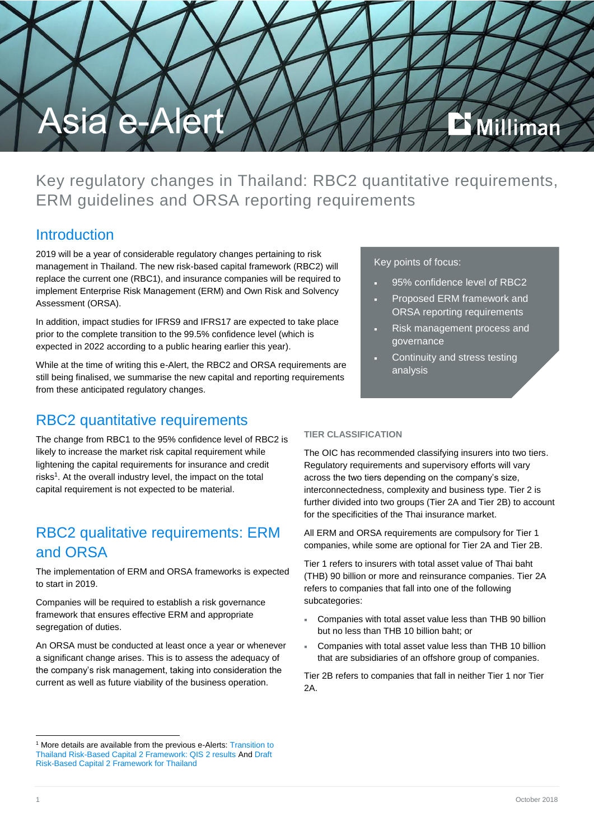

Key regulatory changes in Thailand: RBC2 quantitative requirements, ERM guidelines and ORSA reporting requirements

## **Introduction**

2019 will be a year of considerable regulatory changes pertaining to risk management in Thailand. The new risk-based capital framework (RBC2) will replace the current one (RBC1), and insurance companies will be required to implement Enterprise Risk Management (ERM) and Own Risk and Solvency Assessment (ORSA).

In addition, impact studies for IFRS9 and IFRS17 are expected to take place prior to the complete transition to the 99.5% confidence level (which is expected in 2022 according to a public hearing earlier this year).

While at the time of writing this e-Alert, the RBC2 and ORSA requirements are still being finalised, we summarise the new capital and reporting requirements from these anticipated regulatory changes.

# RBC2 quantitative requirements

The change from RBC1 to the 95% confidence level of RBC2 is likely to increase the market risk capital requirement while lightening the capital requirements for insurance and credit risks<sup>1</sup>. At the overall industry level, the impact on the total capital requirement is not expected to be material.

# RBC2 qualitative requirements: ERM and ORSA

The implementation of ERM and ORSA frameworks is expected to start in 2019.

Companies will be required to establish a risk governance framework that ensures effective ERM and appropriate segregation of duties.

An ORSA must be conducted at least once a year or whenever a significant change arises. This is to assess the adequacy of the company's risk management, taking into consideration the current as well as future viability of the business operation.

### Key points of focus:

- 95% confidence level of RBC2
- Proposed ERM framework and ORSA reporting requirements
- Risk management process and governance
- Continuity and stress testing analysis

## **TIER CLASSIFICATION**

The OIC has recommended classifying insurers into two tiers. Regulatory requirements and supervisory efforts will vary across the two tiers depending on the company's size, interconnectedness, complexity and business type. Tier 2 is further divided into two groups (Tier 2A and Tier 2B) to account for the specificities of the Thai insurance market.

All ERM and ORSA requirements are compulsory for Tier 1 companies, while some are optional for Tier 2A and Tier 2B.

Tier 1 refers to insurers with total asset value of Thai baht (THB) 90 billion or more and reinsurance companies. Tier 2A refers to companies that fall into one of the following subcategories:

- Companies with total asset value less than THB 90 billion but no less than THB 10 billion baht; or
- Companies with total asset value less than THB 10 billion that are subsidiaries of an offshore group of companies.

Tier 2B refers to companies that fall in neither Tier 1 nor Tier  $2A$ 

-

<sup>&</sup>lt;sup>1</sup> More details are available from the previous e-Alerts: Transition to [Thailand Risk-Based Capital 2 Framework: QIS 2 results](http://www.milliman.com/uploadedFiles/insight/Periodicals/asia-ealert/20180109_Asia%20e-alert_Thailand-final.pdf) An[d Draft](http://www.milliman.com/uploadedFiles/insight/Periodicals/asia-ealert/asia-e-alert-thailand-rbc2-framework.pdf)  [Risk-Based Capital 2 Framework for Thailand](http://www.milliman.com/uploadedFiles/insight/Periodicals/asia-ealert/asia-e-alert-thailand-rbc2-framework.pdf)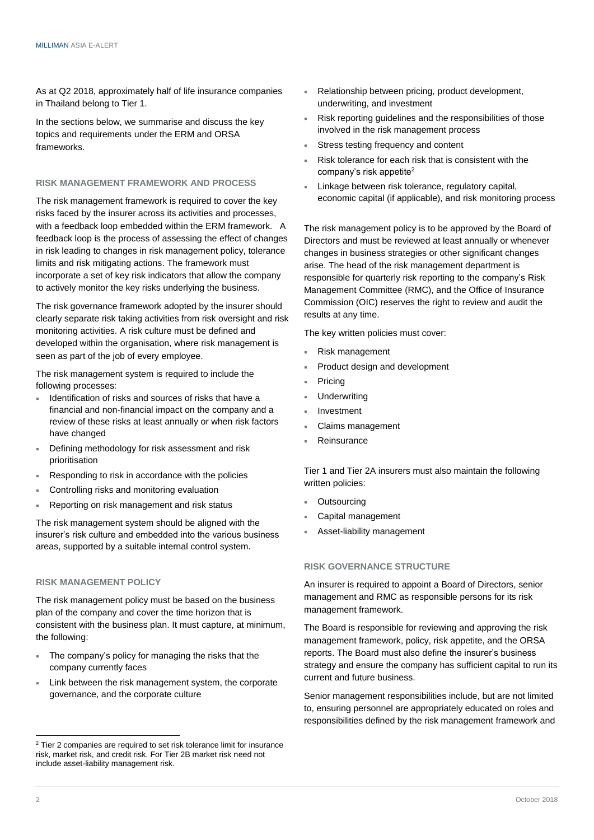As at Q2 2018, approximately half of life insurance companies in Thailand belong to Tier 1.

In the sections below, we summarise and discuss the key topics and requirements under the ERM and ORSA frameworks.

#### **RISK MANAGEMENT FRAMEWORK AND PROCESS**

The risk management framework is required to cover the key risks faced by the insurer across its activities and processes, with a feedback loop embedded within the ERM framework. A feedback loop is the process of assessing the effect of changes in risk leading to changes in risk management policy, tolerance limits and risk mitigating actions. The framework must incorporate a set of key risk indicators that allow the company to actively monitor the key risks underlying the business.

The risk governance framework adopted by the insurer should clearly separate risk taking activities from risk oversight and risk monitoring activities. A risk culture must be defined and developed within the organisation, where risk management is seen as part of the job of every employee.

The risk management system is required to include the following processes:

- Identification of risks and sources of risks that have a financial and non-financial impact on the company and a review of these risks at least annually or when risk factors have changed
- Defining methodology for risk assessment and risk prioritisation
- Responding to risk in accordance with the policies
- Controlling risks and monitoring evaluation
- Reporting on risk management and risk status

The risk management system should be aligned with the insurer's risk culture and embedded into the various business areas, supported by a suitable internal control system.

#### **RISK MANAGEMENT POLICY**

The risk management policy must be based on the business plan of the company and cover the time horizon that is consistent with the business plan. It must capture, at minimum, the following:

- The company's policy for managing the risks that the company currently faces
- Link between the risk management system, the corporate governance, and the corporate culture
- Relationship between pricing, product development, underwriting, and investment
- Risk reporting guidelines and the responsibilities of those involved in the risk management process
- Stress testing frequency and content
- Risk tolerance for each risk that is consistent with the company's risk appetite<sup>2</sup>
- Linkage between risk tolerance, regulatory capital, economic capital (if applicable), and risk monitoring process

The risk management policy is to be approved by the Board of Directors and must be reviewed at least annually or whenever changes in business strategies or other significant changes arise. The head of the risk management department is responsible for quarterly risk reporting to the company's Risk Management Committee (RMC), and the Office of Insurance Commission (OIC) reserves the right to review and audit the results at any time.

The key written policies must cover:

- Risk management
- Product design and development
- Pricing
	- **Underwriting**
	- Investment
	- Claims management
	- **Reinsurance**

Tier 1 and Tier 2A insurers must also maintain the following written policies:

- **Outsourcing**
- Capital management
- Asset-liability management

#### **RISK GOVERNANCE STRUCTURE**

An insurer is required to appoint a Board of Directors, senior management and RMC as responsible persons for its risk management framework.

The Board is responsible for reviewing and approving the risk management framework, policy, risk appetite, and the ORSA reports. The Board must also define the insurer's business strategy and ensure the company has sufficient capital to run its current and future business.

Senior management responsibilities include, but are not limited to, ensuring personnel are appropriately educated on roles and responsibilities defined by the risk management framework and

<sup>-</sup><sup>2</sup> Tier 2 companies are required to set risk tolerance limit for insurance risk, market risk, and credit risk. For Tier 2B market risk need not include asset-liability management risk.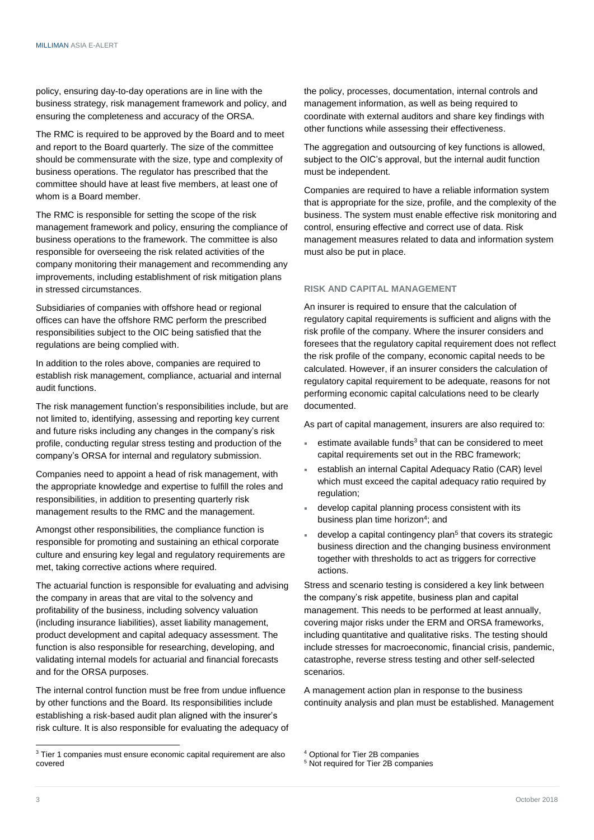policy, ensuring day-to-day operations are in line with the business strategy, risk management framework and policy, and ensuring the completeness and accuracy of the ORSA.

The RMC is required to be approved by the Board and to meet and report to the Board quarterly. The size of the committee should be commensurate with the size, type and complexity of business operations. The regulator has prescribed that the committee should have at least five members, at least one of whom is a Board member.

The RMC is responsible for setting the scope of the risk management framework and policy, ensuring the compliance of business operations to the framework. The committee is also responsible for overseeing the risk related activities of the company monitoring their management and recommending any improvements, including establishment of risk mitigation plans in stressed circumstances.

Subsidiaries of companies with offshore head or regional offices can have the offshore RMC perform the prescribed responsibilities subject to the OIC being satisfied that the regulations are being complied with.

In addition to the roles above, companies are required to establish risk management, compliance, actuarial and internal audit functions.

The risk management function's responsibilities include, but are not limited to, identifying, assessing and reporting key current and future risks including any changes in the company's risk profile, conducting regular stress testing and production of the company's ORSA for internal and regulatory submission.

Companies need to appoint a head of risk management, with the appropriate knowledge and expertise to fulfill the roles and responsibilities, in addition to presenting quarterly risk management results to the RMC and the management.

Amongst other responsibilities, the compliance function is responsible for promoting and sustaining an ethical corporate culture and ensuring key legal and regulatory requirements are met, taking corrective actions where required.

The actuarial function is responsible for evaluating and advising the company in areas that are vital to the solvency and profitability of the business, including solvency valuation (including insurance liabilities), asset liability management, product development and capital adequacy assessment. The function is also responsible for researching, developing, and validating internal models for actuarial and financial forecasts and for the ORSA purposes.

The internal control function must be free from undue influence by other functions and the Board. Its responsibilities include establishing a risk-based audit plan aligned with the insurer's risk culture. It is also responsible for evaluating the adequacy of the policy, processes, documentation, internal controls and management information, as well as being required to coordinate with external auditors and share key findings with other functions while assessing their effectiveness.

The aggregation and outsourcing of key functions is allowed, subject to the OIC's approval, but the internal audit function must be independent.

Companies are required to have a reliable information system that is appropriate for the size, profile, and the complexity of the business. The system must enable effective risk monitoring and control, ensuring effective and correct use of data. Risk management measures related to data and information system must also be put in place.

### **RISK AND CAPITAL MANAGEMENT**

An insurer is required to ensure that the calculation of regulatory capital requirements is sufficient and aligns with the risk profile of the company. Where the insurer considers and foresees that the regulatory capital requirement does not reflect the risk profile of the company, economic capital needs to be calculated. However, if an insurer considers the calculation of regulatory capital requirement to be adequate, reasons for not performing economic capital calculations need to be clearly documented.

As part of capital management, insurers are also required to:

- $=$  estimate available funds<sup>3</sup> that can be considered to meet capital requirements set out in the RBC framework;
- establish an internal Capital Adequacy Ratio (CAR) level which must exceed the capital adequacy ratio required by regulation;
- develop capital planning process consistent with its business plan time horizon<sup>4</sup>; and
- **develop a capital contingency plan<sup>5</sup> that covers its strategic** business direction and the changing business environment together with thresholds to act as triggers for corrective actions.

Stress and scenario testing is considered a key link between the company's risk appetite, business plan and capital management. This needs to be performed at least annually, covering major risks under the ERM and ORSA frameworks, including quantitative and qualitative risks. The testing should include stresses for macroeconomic, financial crisis, pandemic, catastrophe, reverse stress testing and other self-selected scenarios.

A management action plan in response to the business continuity analysis and plan must be established. Management

-

<sup>&</sup>lt;sup>3</sup> Tier 1 companies must ensure economic capital requirement are also covered

<sup>4</sup> Optional for Tier 2B companies

<sup>5</sup> Not required for Tier 2B companies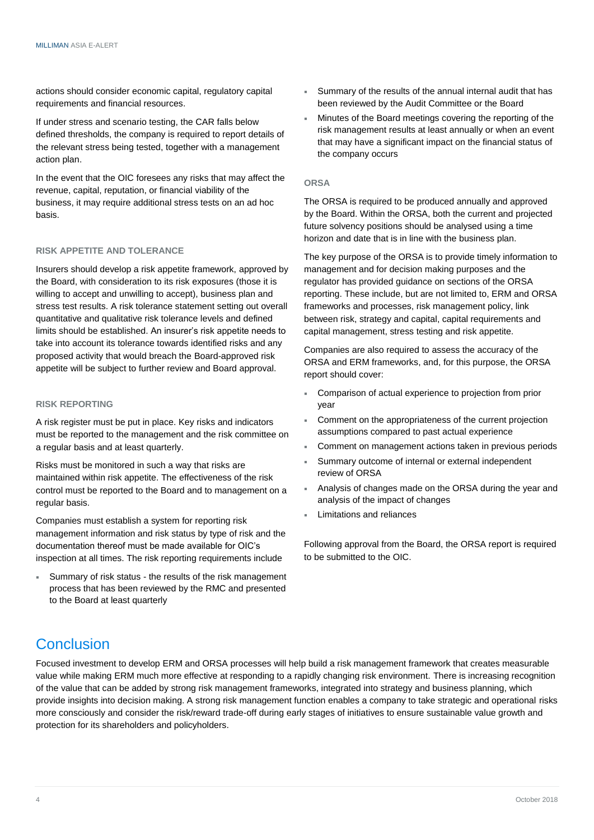actions should consider economic capital, regulatory capital requirements and financial resources.

If under stress and scenario testing, the CAR falls below defined thresholds, the company is required to report details of the relevant stress being tested, together with a management action plan.

In the event that the OIC foresees any risks that may affect the revenue, capital, reputation, or financial viability of the business, it may require additional stress tests on an ad hoc basis.

#### **RISK APPETITE AND TOLERANCE**

Insurers should develop a risk appetite framework, approved by the Board, with consideration to its risk exposures (those it is willing to accept and unwilling to accept), business plan and stress test results. A risk tolerance statement setting out overall quantitative and qualitative risk tolerance levels and defined limits should be established. An insurer's risk appetite needs to take into account its tolerance towards identified risks and any proposed activity that would breach the Board-approved risk appetite will be subject to further review and Board approval.

#### **RISK REPORTING**

A risk register must be put in place. Key risks and indicators must be reported to the management and the risk committee on a regular basis and at least quarterly.

Risks must be monitored in such a way that risks are maintained within risk appetite. The effectiveness of the risk control must be reported to the Board and to management on a regular basis.

Companies must establish a system for reporting risk management information and risk status by type of risk and the documentation thereof must be made available for OIC's inspection at all times. The risk reporting requirements include

 Summary of risk status - the results of the risk management process that has been reviewed by the RMC and presented to the Board at least quarterly

- Summary of the results of the annual internal audit that has been reviewed by the Audit Committee or the Board
- Minutes of the Board meetings covering the reporting of the risk management results at least annually or when an event that may have a significant impact on the financial status of the company occurs

#### **ORSA**

The ORSA is required to be produced annually and approved by the Board. Within the ORSA, both the current and projected future solvency positions should be analysed using a time horizon and date that is in line with the business plan.

The key purpose of the ORSA is to provide timely information to management and for decision making purposes and the regulator has provided guidance on sections of the ORSA reporting. These include, but are not limited to, ERM and ORSA frameworks and processes, risk management policy, link between risk, strategy and capital, capital requirements and capital management, stress testing and risk appetite.

Companies are also required to assess the accuracy of the ORSA and ERM frameworks, and, for this purpose, the ORSA report should cover:

- Comparison of actual experience to projection from prior year
- Comment on the appropriateness of the current projection assumptions compared to past actual experience
- Comment on management actions taken in previous periods
- Summary outcome of internal or external independent review of ORSA
- Analysis of changes made on the ORSA during the year and analysis of the impact of changes
- Limitations and reliances

Following approval from the Board, the ORSA report is required to be submitted to the OIC.

# **Conclusion**

Focused investment to develop ERM and ORSA processes will help build a risk management framework that creates measurable value while making ERM much more effective at responding to a rapidly changing risk environment. There is increasing recognition of the value that can be added by strong risk management frameworks, integrated into strategy and business planning, which provide insights into decision making. A strong risk management function enables a company to take strategic and operational risks more consciously and consider the risk/reward trade-off during early stages of initiatives to ensure sustainable value growth and protection for its shareholders and policyholders.